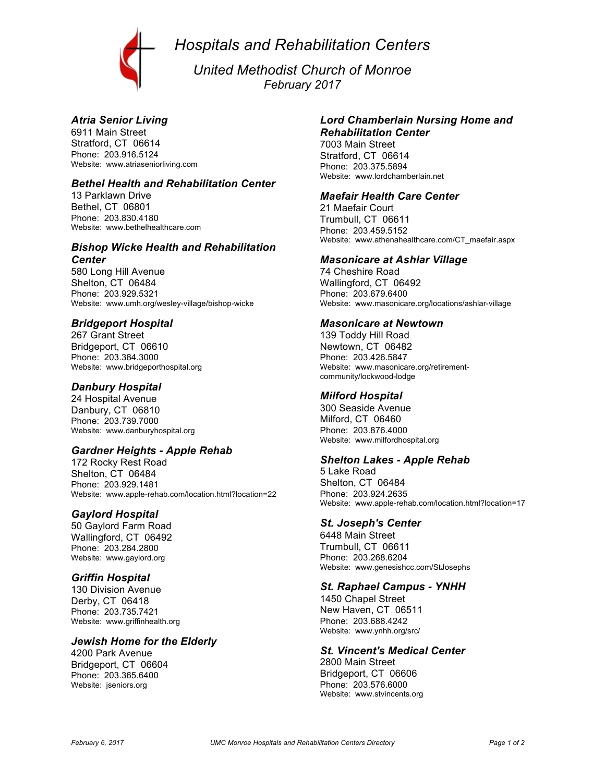*Hospitals and Rehabilitation Centers*



*United Methodist Church of Monroe February 2017*

## *Atria Senior Living*

6911 Main Street Stratford, CT 06614 Phone: 203.916.5124 Website: www.atriaseniorliving.com

## *Bethel Health and Rehabilitation Center*

13 Parklawn Drive Bethel, CT 06801 Phone: 203.830.4180 Website: www.bethelhealthcare.com

#### *Bishop Wicke Health and Rehabilitation Center*

580 Long Hill Avenue Shelton, CT 06484 Phone: 203.929.5321 Website: www.umh.org/wesley-village/bishop-wicke

#### *Bridgeport Hospital*

267 Grant Street Bridgeport, CT 06610 Phone: 203.384.3000 Website: www.bridgeporthospital.org

### *Danbury Hospital*

24 Hospital Avenue Danbury, CT 06810 Phone: 203.739.7000 Website: www.danburyhospital.org

# *Gardner Heights - Apple Rehab*

172 Rocky Rest Road Shelton, CT 06484 Phone: 203.929.1481 Website: www.apple-rehab.com/location.html?location=22

#### *Gaylord Hospital*

50 Gaylord Farm Road Wallingford, CT 06492 Phone: 203.284.2800 Website: www.gaylord.org

#### *Griffin Hospital*

130 Division Avenue Derby, CT 06418 Phone: 203.735.7421 Website: www.griffinhealth.org

# *Jewish Home for the Elderly*

4200 Park Avenue Bridgeport, CT 06604 Phone: 203.365.6400 Website: jseniors.org

#### *Lord Chamberlain Nursing Home and Rehabilitation Center*

7003 Main Street Stratford, CT 06614 Phone: 203.375.5894 Website: www.lordchamberlain.net

#### *Maefair Health Care Center*

21 Maefair Court Trumbull, CT 06611 Phone: 203.459.5152 Website: www.athenahealthcare.com/CT\_maefair.aspx

#### *Masonicare at Ashlar Village*

74 Cheshire Road Wallingford, CT 06492 Phone: 203.679.6400 Website: www.masonicare.org/locations/ashlar-village

#### *Masonicare at Newtown*

139 Toddy Hill Road Newtown, CT 06482 Phone: 203.426.5847 Website: www.masonicare.org/retirementcommunity/lockwood-lodge

#### *Milford Hospital*

300 Seaside Avenue Milford, CT 06460 Phone: 203.876.4000 Website: www.milfordhospital.org

#### *Shelton Lakes - Apple Rehab*

5 Lake Road Shelton, CT 06484 Phone: 203.924.2635 Website: www.apple-rehab.com/location.html?location=17

#### *St. Joseph's Center*

6448 Main Street Trumbull, CT 06611 Phone: 203.268.6204 Website: www.genesishcc.com/StJosephs

#### *St. Raphael Campus - YNHH*

1450 Chapel Street New Haven, CT 06511 Phone: 203.688.4242 Website: www.ynhh.org/src/

# *St. Vincent's Medical Center*

2800 Main Street Bridgeport, CT 06606 Phone: 203.576.6000 Website: www.stvincents.org